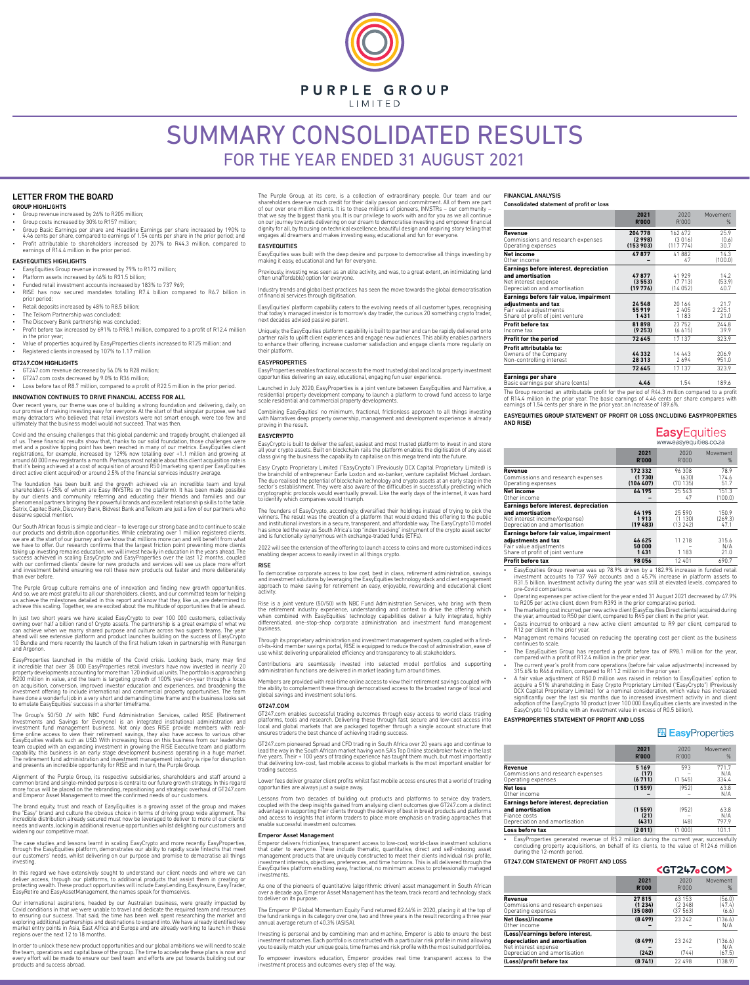PURPLE GROUP

**I IMITED** 

# SUMMARY CONSOLIDATED RESULTS FOR THE YEAR ENDED 31 AUGUST 2021

## LETTER FROM THE BOARD

# **GROUP HIGHLIGHTS**

- Group revenue increased by 26% to R205 million; • Group costs increased by 30% to R157 million;
- Group Basic Earnings per share and Headline Earnings per share increased by 190% to
- 4.46 cents per share, compared to earnings of 1.54 cents per share in the prior period; and • Profit attributable to shareholders increased by 207% to R44.3 million, compared to earnings of R14.4 million in the prior period.

## EASYEQUITIES HIGHLIGHTS

- EasyEquities Group revenue increased by 79% to R172 million;
- Platform assets increased by 46% to R31.5 billion;
- Funded retail investment accounts increased by 183% to 737 969; • RISE has now secured mandates totalling R7.4 billion compared to R6.7 billion in
- prior period; Retail deposits increased by 48% to R8.5 billion;
- The Telkom Partnership was concluded;
- The Discovery Bank partnership was concluded:
- Profit before tax increased by 691% to R98.1 million, compared to a profit of R124 million in the prior year;
- Value of properties acquired by EasyProperties clients increased to R125 million; and • Registered clients increased by 107% to 1.17 million

#### GT247.COM HIGHLIGHTS

- GT247.com revenue decreased by 56.0% to R28 million;
- GT247.com costs decreased by 9.0% to R36 million; • Loss before tax of R8.7 million, compared to a profit of R22.5 million in the prior period.

# INNOVATION CONTINUES TO DRIVE FINANCIAL ACCESS FOR ALL

Over recent years, our theme was one of building a strong foundation and delivering, daily, on our promise of making investing easy for everyone. At the start of that singular purpose, we had many detractors who believed that retail investors were not smart enough, were too few and ultimately that the business model would not succeed. That was then.

Covid and the ensuing challenges that this global pandemic and tragedy brought, challenged all of us. These financial results show that, thanks to our solid foundation, those challenges were met and a positive tipping point has been reached in many of our metrics. EasyEquities client<br>registrations, for example, increased by 129% now totalling over +1.1 million and growing at<br>around 60 000 new registrants a mon that it's being achieved at a cost of acquisition of around R50 (marketing spend per EasyEquities direct active client acquired) or around 2.5% of the financial services industry average.

The foundation has been built and the growth achieved via an incredible team and loyal<br>shareholders (+25% of whom are Easy INVSTRs on the platform). It has been made possible<br>by our clients and community referring and educ deserve special mention.

Our South African focus is simple and clear – to leverage our strong base and to continue to scale our products and distribution opportunities. While celebrating over 1 million registered clients,<br>we are at the start of our journey and we know that millions more can and will benefit from what<br>we have to offer. Our resea taking up investing remains education, we will invest heavily in education in the years ahead. The<br>success achieved in scaling EasyCrypto and EasyProperties over the last 12 months, coupled<br>with our confirmed clients' desi and investment behind ensuring we roll these new products out faster and more deliberately than ever before.

The Purple Group culture remains one of innovation and finding new growth opportunities. And so, we are most grateful to all our shareholders, clients, and our committed team for helping<br>us achieve the milestones detailed in this report and know that they, like us, are determined to<br>achieve this scaling. Toget

In just two short years we have scaled EasyCrypto to over 100 000 customers, collectively owning over half a billion rand of Crypto assets. The partnership is a great example of what we<br>can achieve when we marry shared purpose and culture across two superb teams. The year<br>ahead will see extensive platform and p and Argonon.

EasyProperties launched in the middle of the Covid crisis. Looking back, many may find it incredible that over 35 000 EasyProperties retail investors have now invested in nearly 20<br>property developments accounting for more than 120 individual units. The portfolio is approaching<br>R200 million in value, and the on acquisition, conversion, improved investor education and experiences, and broadening the<br>investment offering to include international and commercial property opportunities. The team<br>have done a wonderful job in a very s to emulate EasyEquities' success in a shorter timeframe.

The Group's 50/50 JV with NBC Fund Administration Services, called RISE (Retirement<br>Investments and Savings for Everyone) is an integrated institutional administration and<br>investment fund management business. Not only does time online access to view their retirement savings, they also have access to various other EasyEquities wallets such as USD. With increasing focus on this business from our leadership team coupled with an expanding investment in growing the RISE Executive team and platform capability, this business is an early stage development business operating in a huge market. The retirement fund administration and investment management industry is ripe for disruption and presents an incredible opportunity for RISE and in turn, the Purple Group.

Alignment of the Purple Group, its respective subsidiaries, shareholders and staff around a common brand and single-minded purpose is central to our future growth strategy. In this regard more focus will be placed on the rebranding, repositioning and strategic overhaul of GT247.com and Emperor Asset Management to meet the confirmed needs of our customers.

The brand equity, trust and reach of EasyEquities is a growing asset of the group and makes the "Easy" brand and culture the obvious choice in terms of driving group wide alignment. The<br>incredible distribution already secured must now be leveraged to deliver to more of our clients'<br>needs and wants, locking in add widening our competitive moat.

The case studies and lessons learnt in scaling EasyCrypto and more recently EasyProperties,<br>through the EasyEquities platform, demonstrates our ability to rapidly scale fintechs that meet<br>our customers' needs, whilst deliv investing.

In this regard we have extensively sought to understand our client needs and where we can deliver access, through our platforms, to additional products that assist them in creating or protecting wealth. These product opportunities will include EasyLending, EasyInsure, EasyTrader, EasyRetire and EasyAssetManagement, the names speak for themselves.

Our international aspirations, headed by our Australian business, were greatly impacted by Covid conditions in that we were unable to travel and dedicate the required team and resources to ensuring our success. That said, the time has been well spent researching the market and exploring additional partnerships and destinations to expand into. We have already identified key market entry points in Asia, East Africa and Europe and are already working to launch in these regions over the next 12 to 18 months.

In order to unlock these new product opportunities and our global ambitions we will need to scale the team, operations and capital base of the group. The time to accelerate these plans is now and every effort will be made to ensure our best team and efforts are put towards building out our products and success abroad.

The Purple Group, at its core, is a collection of extraordinary people. Our team and our shareholders deserve much credit for their daily passion and commitment. All of them are part of our over one million clients. It is to those millions of pioneers, INVSTRs – our community – that we say the biggest thank you. It is our privilege to work with and for you as we all continue on our journey towards delivering on our dream to democratise investing and empower financial dignity for all, by focusing on technical excellence, beautiful design and inspiring story telling that engages all dreamers and makes investing easy, educational and fun for everyone.

#### EASYEQUITIES EasyEquities was built with the deep desire and purpose to democratise all things investing by

making it easy, educational and fun for everyone. Previously, investing was seen as an elite activity, and was, to a great extent, an intimidating (and

often unaffordable) option for everyone.

Industry trends and global best practices has seen the move towards the global democratisation of financial services through digitisation.

EasyEquities' platform capability caters to the evolving needs of all customer types, recognising that today's managed investor is tomorrow's day trader, the curious 20 something crypto trader, next decades advised passive parent.

Uniquely, the EasyEquities platform capability is built to partner and can be rapidly delivered onto partner rails to uplift client experiences and engage new audiences. This ability enables partners to enhance their offering, increase customer satisfaction and engage clients more regularly on their platform.

#### EASYPROPERTIES

EasyProperties enables fractional access to the most trusted global and local property investment opportunities delivering an easy, educational, engaging fun user experience.

Launched in July 2020, EasyProperties is a joint venture between EasyEquities and Narrative, a residential property development company, to launch a platform to crowd fund access to large scale residential and commercial property developments.

Combining EasyEquities' no minimum, fractional, frictionless approach to all things investing with Narratives deep property ownership, management and development experience is already proving in the result.

#### EASYCRYPTO

EasyCrypto is built to deliver the safest, easiest and most trusted platform to invest in and store all your crypto assets. Built on blockchain rails the platform enables the digitisation of any asset class giving the business the capability to capitalise on this mega trend into the future.

Easy Crypto Proprietary Limited ("EasyCrypto") (Previously DCX Capital Proprietary Limited) is the brainchild of entrepreneur Earle Loxton and ex-banker, venture capitalist Michael Jordaan.<br>The duo realised the potential of blockchain technology and crypto assets at an early stage in the<br>sector's establishment. They cryptographic protocols would eventually prevail. Like the early days of the internet, it was hard to identify which companies would triumph.

The founders of EasyCrypto, accordingly, diversified their holdings instead of trying to pick the winners. The result was the creation of a platform that would extend this offering to the public and institutional investors in a secure, transparent, and affordable way. The EasyCrypto10 model has since led the way as South Africa's top "index tracking" instrument of the crypto asset sector and is functionally synonymous with exchange-traded funds (ETFs).

2022 will see the extension of the offering to launch access to coins and more customised indices enabling deeper access to easily invest in all things crypto.

#### RISE

To democratise corporate access to low cost, best in class, retirement administration, savings and investment solutions by leveraging the EasyEquities technology stack and client engagement solutions by leveraging the EasyEquities technology stack and client engagement approach to make saving for retirement an easy, enjoyable, rewarding and educational client activity.

Rise is a joint venture (50/50) with NBC Fund Administration Services, who bring with them the retirement industry experience, understanding and context to drive the offering which when combined with EasyEquities' technology capabilities deliver a fully integrated, highly differentiated, one-stop-shop corporate administration and investment fund management business.

Through its proprietary administration and investment management system, coupled with a first-of-its-kind member savings portal, RISE is equipped to reduce the cost of administration, ease of use whilst delivering unparalleled efficiency and transparency to all stakeholders.

Contributions are seamlessly invested into selected model portfolios and supporting administration functions are delivered in market leading turn around times.

Members are provided with real-time online access to view their retirement savings coupled with the ability to complement these through democratised access to the broadest range of local and global savings and investment solutions.

#### GT247.COM

GT247.com enables successful trading outcomes through easy access to world class trading platforms, tools and research. Delivering these through fast, secure and low-cost access into local and global markets that are packaged together through a single account structure that ensures traders the best chance of achieving trading success.

GT247.com pioneered Spread and CFD trading in South Africa over 20 years ago and continue to lead the way in the South African market having won SA's Top Online stockbroker twice in the last five years. Their + 100 years of trading experience has taught them much, but most importantly that delivering low-cost, fast mobile access to global markets is the most important enabler for trading succes

Lower fees deliver greater client profits whilst fast mobile access ensures that a world of trading opportunities are always just a swipe away.

Lessons from two decades of building out products and platforms to service day traders coupled with the deep insights gained from analysing client outcomes give GT247.com a distinct advantage in supporting their clients through the delivery of best in breed products and platforms and access to insights that inform traders to place more emphasis on trading approaches that enable successful investment outcomes

## Emperor Asset Management

Emperor delivers frictionless, transparent access to low-cost, world-class investment solutions that cater to everyone. These include thematic, quantitative, direct and self-indexing asset management products that are uniquely constructed to meet their clients individual risk profile, investment interests, objectives, preferences, and time horizons. This is all delivered through the EasyEquities platform enabling easy, fractional, no minimum access to professionally managed investments

As one of the pioneers of quantitative (algorithmic driven) asset management in South African over a decade ago, Emperor Asset Management has the team, track record and technology stack to deliver on its purpose.

The Emperor IP Global Momentum Equity Fund returned 82.44% in 2020, placing it at the top of the fund rankings in its category over one, two and three years in the result recording a three year annual average return of 40.3% (ASISA).

Investing is personal and by combining man and machine, Emperor is able to ensure the best investment outcomes. Each portfolio is constructed with a particular risk profile in mind allowing

you to easily match your unique goals, time frames and risk profile with the most suited portfolios. To empower investors education, Emperor provides real time transparent access to the investment process and outcomes every step of the way.

#### FINANCIAL ANALYSIS Consolidated statement of profit or loss

|                                                                                                                             | 2021                       | 2020                       | Movement                  |
|-----------------------------------------------------------------------------------------------------------------------------|----------------------------|----------------------------|---------------------------|
|                                                                                                                             | <b>R'000</b>               | R'000                      | %                         |
| Revenue                                                                                                                     | 204 778                    | 162 672                    | 25.9                      |
| Commissions and research expenses                                                                                           | (2998)                     | (3016)                     | (0.6)                     |
| Operating expenses                                                                                                          | (153903)                   | (117774)                   | 30.7                      |
| <b>Net income</b>                                                                                                           | 47877                      | 41882                      | 14.3                      |
| Other income                                                                                                                |                            | 47                         | (100.0)                   |
| Earnings before interest, depreciation<br>and amortisation<br>Net interest expense<br>Depreciation and amortisation         | 47877<br>(3553)<br>(19776) | 41929<br>(7713)<br>(14052) | 14.2<br>(53.9)<br>40.7    |
| Earnings before fair value, impairment<br>adjustments and tax<br>Fair value adjustments<br>Share of profit of joint venture | 24 548<br>55919<br>1431    | 20164<br>2405<br>1183      | 21.7<br>2 2 2 5.1<br>21.0 |
| Profit before tax                                                                                                           | 81898                      | 23752                      | 244.8                     |
| Income tax                                                                                                                  | (9253)                     | (6615)                     | 39.9                      |
| Profit for the period                                                                                                       | 72645                      | 17137                      | 323.9                     |
| Profit attributable to:                                                                                                     | 44 332                     | 14 4 4 3                   | 206.9                     |
| Owners of the Company                                                                                                       | 28 3 1 3                   | 2694                       | 951.0                     |
| Non-controlling interest                                                                                                    | 72645                      | 17137                      | 323.9                     |
| <b>Earnings per share</b><br>Basic earnings per share (cents)                                                               | 4.46                       | 1.54                       | 189.6                     |

The Group recorded an attributable profit for the period of R44.3 million compared to a profit of R14.4 million in the prior year. The basic earnings of 4.46 cents per share compares with earnings of 1.54 cents per share in the prior year, an increase of 189.6%.

EASYEQUITIES GROUP STATEMENT OF PROFIT OR LOSS (INCLUDING EASYPROPERTIES AND RISE)

## **Easy** Equities www.easvequities.co.za

|                                                                                                                              | 2021<br><b>R'000</b>         | 2020<br>R'000               | Movement<br>$\%$         |
|------------------------------------------------------------------------------------------------------------------------------|------------------------------|-----------------------------|--------------------------|
| Revenue<br>Commissions and research expenses<br>Operating expenses                                                           | 172332<br>(1730)<br>(106407) | 96 308<br>(630)<br>(70 135) | 78.9<br>174.6<br>51.7    |
| <b>Net income</b><br>Other income                                                                                            | 64 195                       | 25 543<br>47                | 151.3<br>(100.0)         |
| Earnings before interest, depreciation<br>and amortisation<br>Net interest income/(expense)<br>Depreciation and amortisation | 64 195<br>1913<br>(19, 483)  | 25 590<br>(1130)<br>(13242) | 150.9<br>(269.3)<br>47.1 |
| Earnings before fair value, impairment<br>adjustments and tax<br>Fair value adjustments<br>Share of profit of joint venture  | 46 625<br>50 000<br>1431     | 11 218<br>1 1 8 3           | 315.6<br>N/A<br>21.0     |
| <b>Profit before tax</b>                                                                                                     | 98056                        | 12 401                      | 690.7                    |

• EasyEquities Group revenue was up 78.9% driven by a 182.9% increase in funded retail investment accounts to 737 969 accounts and a 45.7% increase in platform assets to R31.5 billion. Investment activity during the year was still at elevated levels, compared to pre-Covid comparisons.

• Operating expenses per active client for the year ended 31 August 2021 decreased by 47.9% to R205 per active client, down from R393 in the prior comparative period.

- The marketing cost incurred, per new active client (EasyEquities Direct clients) acquired during the year, amounted to R50 per client, compared to R45 per client in the prior yea
- Costs incurred to onboard a new active client amounted to R9 per client, compared to R12 per client in the prior year.
- Management remains focused on reducing the operating cost per client as the business continues to scale.
- The EasyEquities Group has reported a profit before tax of R98.1 million for the year, compared with a profit of R12.4 million in the prior year.
- The current year's profit from core operations (before fair value adjustments) increased by 315.6% to R46.6 million, compared to R11.2 million in the prior year.
- A fair value adjustment of R50.0 million was raised in relation to EasyEquities' option to acquire a 51% shareholding in Easy Crypto Proprietary Limited ("EasyCrypto") (Previously<br>DCX Capital Proprietary Limited) for a nominal consideration, which value has increased<br>significantly over the last six months due to

## EASYPROPERTIES STATEMENT OF PROFIT AND LOSS

# **图 EasyProperties**

|                                                                                                             | 2021<br><b>R'000</b>    | 2020<br>R'000 | Movement<br>%         |
|-------------------------------------------------------------------------------------------------------------|-------------------------|---------------|-----------------------|
| Revenue<br>Commissions and research expenses<br>Operating expenses                                          | 5169<br>(17)<br>(6711)  | 593<br>(1545) | 771.7<br>N/A<br>334.4 |
| <b>Net loss</b><br>Other income                                                                             | (1559)                  | (952)         | 63.8<br>N/A           |
| Earnings before interest, depreciation<br>and amortisation<br>Fiance costs<br>Depreciation and amortisation | (1559)<br>(21)<br>(431) | (952)<br>(48) | 63.8<br>N/A<br>797.9  |
| Loss before tax                                                                                             | (2011)                  | (1 000)       | 101.1                 |

• EasyProperties generated revenue of R5.2 million during the current year, successfully concluding property acquisitions, on behalf of its clients, to the value of R124.6 million during the 12-month period.

GT247.COM STATEMENT OF PROFIT AND LOSS

|                                                                                                                            | <gt247.com></gt247.com>     |                              |                           |  |
|----------------------------------------------------------------------------------------------------------------------------|-----------------------------|------------------------------|---------------------------|--|
|                                                                                                                            | 2021<br><b>R'000</b>        | 2020<br>R'000                | Movement<br>%             |  |
| Revenue<br>Commissions and research expenses<br>Operating expenses                                                         | 27815<br>(1234)<br>(35 080) | 63 153<br>(2348)<br>(37 563) | (56.0)<br>(47.4)<br>(6.6) |  |
| Net (loss)/income<br>Other income                                                                                          | (8499)                      | 23 24 2                      | (136.6)<br>N/A            |  |
| (Loss)/earnings before interest,<br>depreciation and amortisation<br>Net interest expense<br>Depreciation and amortisation | (8499)<br>(242)             | 23 24 2<br>(744)             | (136.6)<br>N/A<br>(67.5)  |  |
| (Loss)/profit before tax                                                                                                   | (8741)                      | 22 498                       | (138.9)                   |  |